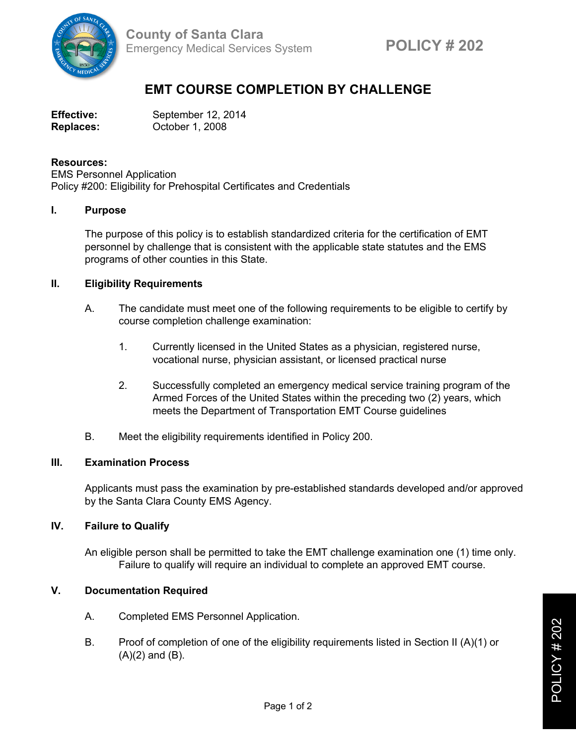

# **EMT COURSE COMPLETION BY CHALLENGE**

| <b>Effective:</b> | September 12, 2014 |
|-------------------|--------------------|
| <b>Replaces:</b>  | October 1, 2008    |

#### **Resources:**

EMS Personnel Application Policy #200: Eligibility for Prehospital Certificates and Credentials

## **I. Purpose**

The purpose of this policy is to establish standardized criteria for the certification of EMT personnel by challenge that is consistent with the applicable state statutes and the EMS programs of other counties in this State.

## **II. Eligibility Requirements**

- A. The candidate must meet one of the following requirements to be eligible to certify by course completion challenge examination:
	- 1. Currently licensed in the United States as a physician, registered nurse, vocational nurse, physician assistant, or licensed practical nurse
	- 2. Successfully completed an emergency medical service training program of the Armed Forces of the United States within the preceding two (2) years, which meets the Department of Transportation EMT Course guidelines
- B. Meet the eligibility requirements identified in Policy 200.

#### **III. Examination Process**

Applicants must pass the examination by pre-established standards developed and/or approved by the Santa Clara County EMS Agency.

# **IV. Failure to Qualify**

An eligible person shall be permitted to take the EMT challenge examination one (1) time only. Failure to qualify will require an individual to complete an approved EMT course.

## **V. Documentation Required**

- A. Completed EMS Personnel Application.
- B. Proof of completion of one of the eligibility requirements listed in Section II (A)(1) or  $(A)(2)$  and  $(B)$ .